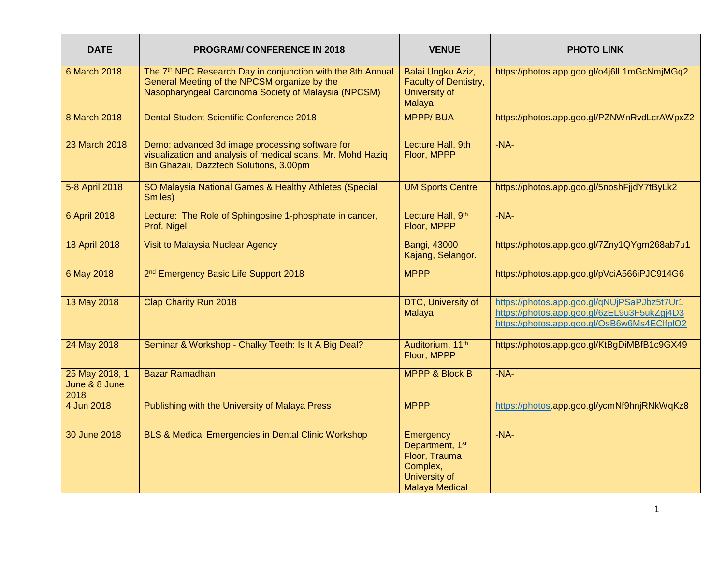| <b>DATE</b>                             | <b>PROGRAM/CONFERENCE IN 2018</b>                                                                                                                                               | <b>VENUE</b>                                                                                                    | <b>PHOTO LINK</b>                                                                                                                         |
|-----------------------------------------|---------------------------------------------------------------------------------------------------------------------------------------------------------------------------------|-----------------------------------------------------------------------------------------------------------------|-------------------------------------------------------------------------------------------------------------------------------------------|
| <b>6 March 2018</b>                     | The 7 <sup>th</sup> NPC Research Day in conjunction with the 8th Annual<br>General Meeting of the NPCSM organize by the<br>Nasopharyngeal Carcinoma Society of Malaysia (NPCSM) | Balai Ungku Aziz,<br>Faculty of Dentistry,<br>University of<br>Malaya                                           | https://photos.app.goo.gl/o4j6lL1mGcNmjMGq2                                                                                               |
| 8 March 2018                            | <b>Dental Student Scientific Conference 2018</b>                                                                                                                                | <b>MPPP/BUA</b>                                                                                                 | https://photos.app.goo.gl/PZNWnRvdLcrAWpxZ2                                                                                               |
| 23 March 2018                           | Demo: advanced 3d image processing software for<br>visualization and analysis of medical scans, Mr. Mohd Haziq<br>Bin Ghazali, Dazztech Solutions, 3.00pm                       | Lecture Hall, 9th<br>Floor, MPPP                                                                                | $-NA-$                                                                                                                                    |
| 5-8 April 2018                          | SO Malaysia National Games & Healthy Athletes (Special<br>Smiles)                                                                                                               | <b>UM Sports Centre</b>                                                                                         | https://photos.app.goo.gl/5noshFjjdY7tByLk2                                                                                               |
| 6 April 2018                            | Lecture: The Role of Sphingosine 1-phosphate in cancer,<br>Prof. Nigel                                                                                                          | Lecture Hall, 9th<br>Floor, MPPP                                                                                | $-NA-$                                                                                                                                    |
| <b>18 April 2018</b>                    | Visit to Malaysia Nuclear Agency                                                                                                                                                | Bangi, 43000<br>Kajang, Selangor.                                                                               | https://photos.app.goo.gl/7Zny1QYgm268ab7u1                                                                                               |
| 6 May 2018                              | 2 <sup>nd</sup> Emergency Basic Life Support 2018                                                                                                                               | <b>MPPP</b>                                                                                                     | https://photos.app.goo.gl/pVciA566iPJC914G6                                                                                               |
| 13 May 2018                             | <b>Clap Charity Run 2018</b>                                                                                                                                                    | DTC, University of<br>Malaya                                                                                    | https://photos.app.goo.gl/qNUjPSaPJbz5t7Ur1<br>https://photos.app.goo.gl/6zEL9u3F5ukZgj4D3<br>https://photos.app.goo.gl/OsB6w6Ms4EClfplO2 |
| 24 May 2018                             | Seminar & Workshop - Chalky Teeth: Is It A Big Deal?                                                                                                                            | Auditorium, 11th<br>Floor, MPPP                                                                                 | https://photos.app.goo.gl/KtBgDiMBfB1c9GX49                                                                                               |
| 25 May 2018, 1<br>June & 8 June<br>2018 | <b>Bazar Ramadhan</b>                                                                                                                                                           | <b>MPPP &amp; Block B</b>                                                                                       | $-NA-$                                                                                                                                    |
| 4 Jun 2018                              | Publishing with the University of Malaya Press                                                                                                                                  | <b>MPPP</b>                                                                                                     | https://photos.app.goo.gl/ycmNf9hnjRNkWqKz8                                                                                               |
| 30 June 2018                            | BLS & Medical Emergencies in Dental Clinic Workshop                                                                                                                             | Emergency<br>Department, 1 <sup>st</sup><br>Floor, Trauma<br>Complex,<br>University of<br><b>Malaya Medical</b> | $-NA-$                                                                                                                                    |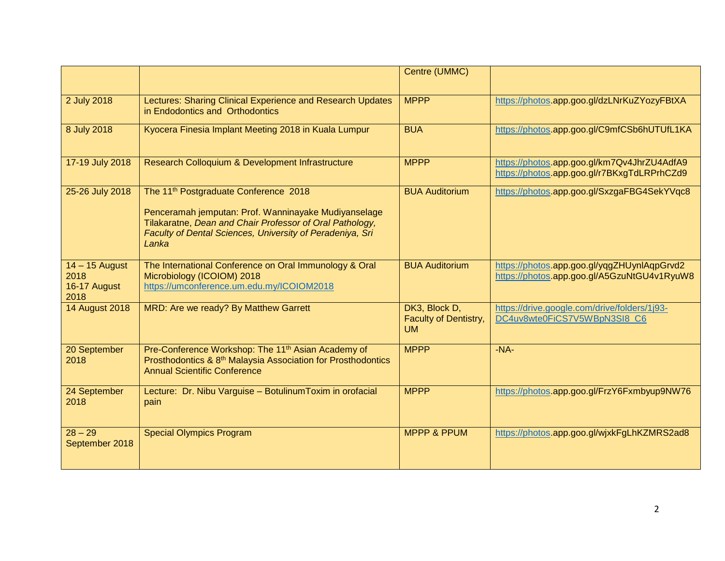|                                                  |                                                                                                                                                                                                                                             | Centre (UMMC)                                              |                                                                                            |
|--------------------------------------------------|---------------------------------------------------------------------------------------------------------------------------------------------------------------------------------------------------------------------------------------------|------------------------------------------------------------|--------------------------------------------------------------------------------------------|
| 2 July 2018                                      | Lectures: Sharing Clinical Experience and Research Updates<br>in Endodontics and Orthodontics                                                                                                                                               | <b>MPPP</b>                                                | https://photos.app.goo.gl/dzLNrKuZYozyFBtXA                                                |
| 8 July 2018                                      | Kyocera Finesia Implant Meeting 2018 in Kuala Lumpur                                                                                                                                                                                        | <b>BUA</b>                                                 | https://photos.app.goo.gl/C9mfCSb6hUTUfL1KA                                                |
| 17-19 July 2018                                  | Research Colloquium & Development Infrastructure                                                                                                                                                                                            | <b>MPPP</b>                                                | https://photos.app.goo.gl/km7Qv4JhrZU4AdfA9<br>https://photos.app.goo.gl/r7BKxgTdLRPrhCZd9 |
| 25-26 July 2018                                  | The 11 <sup>th</sup> Postgraduate Conference 2018<br>Penceramah jemputan: Prof. Wanninayake Mudiyanselage<br>Tilakaratne, Dean and Chair Professor of Oral Pathology,<br>Faculty of Dental Sciences, University of Peradeniya, Sri<br>Lanka | <b>BUA Auditorium</b>                                      | https://photos.app.goo.gl/SxzgaFBG4SekYVqc8                                                |
| $14 - 15$ August<br>2018<br>16-17 August<br>2018 | The International Conference on Oral Immunology & Oral<br>Microbiology (ICOIOM) 2018<br>https://umconference.um.edu.my/ICOIOM2018                                                                                                           | <b>BUA Auditorium</b>                                      | https://photos.app.goo.gl/yqgZHUynlAqpGrvd2<br>https://photos.app.goo.gl/A5GzuNtGU4v1RyuW8 |
| <b>14 August 2018</b>                            | MRD: Are we ready? By Matthew Garrett                                                                                                                                                                                                       | DK3, Block D,<br><b>Faculty of Dentistry,</b><br><b>UM</b> | https://drive.google.com/drive/folders/1j93-<br>DC4uv8wte0FiCS7V5WBpN3SI8_C6               |
| 20 September<br>2018                             | Pre-Conference Workshop: The 11 <sup>th</sup> Asian Academy of<br>Prosthodontics & 8 <sup>th</sup> Malaysia Association for Prosthodontics<br><b>Annual Scientific Conference</b>                                                           | <b>MPPP</b>                                                | $-NA-$                                                                                     |
| 24 September<br>2018                             | Lecture: Dr. Nibu Varguise - Botulinum Toxim in orofacial<br>pain                                                                                                                                                                           | <b>MPPP</b>                                                | https://photos.app.goo.gl/FrzY6Fxmbyup9NW76                                                |
| $28 - 29$<br>September 2018                      | <b>Special Olympics Program</b>                                                                                                                                                                                                             | <b>MPPP &amp; PPUM</b>                                     | https://photos.app.goo.gl/wjxkFgLhKZMRS2ad8                                                |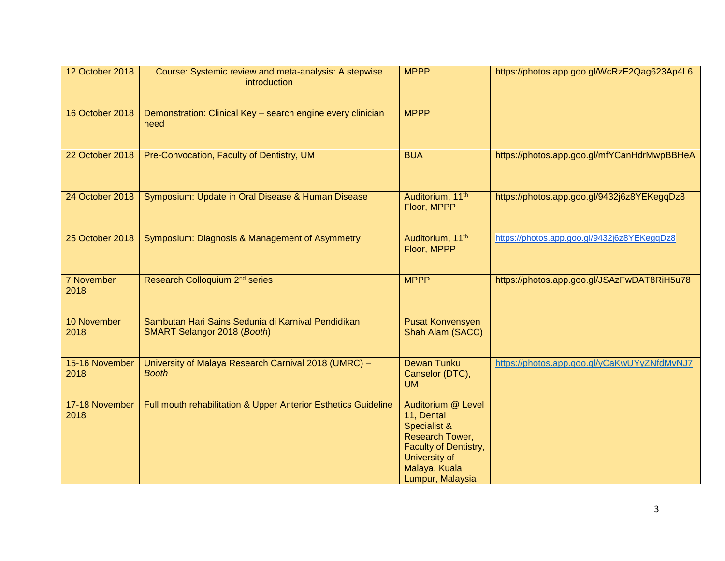| 12 October 2018        | Course: Systemic review and meta-analysis: A stepwise<br>introduction             | <b>MPPP</b>                                                                                                                                        | https://photos.app.goo.gl/WcRzE2Qag623Ap4L6 |
|------------------------|-----------------------------------------------------------------------------------|----------------------------------------------------------------------------------------------------------------------------------------------------|---------------------------------------------|
| 16 October 2018        | Demonstration: Clinical Key - search engine every clinician<br>need               | <b>MPPP</b>                                                                                                                                        |                                             |
| 22 October 2018        | Pre-Convocation, Faculty of Dentistry, UM                                         | <b>BUA</b>                                                                                                                                         | https://photos.app.goo.gl/mfYCanHdrMwpBBHeA |
| 24 October 2018        | Symposium: Update in Oral Disease & Human Disease                                 | Auditorium, 11th<br>Floor, MPPP                                                                                                                    | https://photos.app.goo.gl/9432j6z8YEKegqDz8 |
| 25 October 2018        | Symposium: Diagnosis & Management of Asymmetry                                    | Auditorium, 11 <sup>th</sup><br>Floor, MPPP                                                                                                        | https://photos.app.goo.gl/9432j6z8YEKeggDz8 |
| 7 November<br>2018     | Research Colloquium 2 <sup>nd</sup> series                                        | <b>MPPP</b>                                                                                                                                        | https://photos.app.goo.gl/JSAzFwDAT8RiH5u78 |
| 10 November<br>2018    | Sambutan Hari Sains Sedunia di Karnival Pendidikan<br>SMART Selangor 2018 (Booth) | <b>Pusat Konvensyen</b><br>Shah Alam (SACC)                                                                                                        |                                             |
| 15-16 November<br>2018 | University of Malaya Research Carnival 2018 (UMRC) -<br><b>Booth</b>              | <b>Dewan Tunku</b><br>Canselor (DTC),<br><b>UM</b>                                                                                                 | https://photos.app.goo.gl/yCaKwUYyZNfdMvNJ7 |
| 17-18 November<br>2018 | Full mouth rehabilitation & Upper Anterior Esthetics Guideline                    | Auditorium @ Level<br>11, Dental<br>Specialist &<br>Research Tower,<br>Faculty of Dentistry,<br>University of<br>Malaya, Kuala<br>Lumpur, Malaysia |                                             |